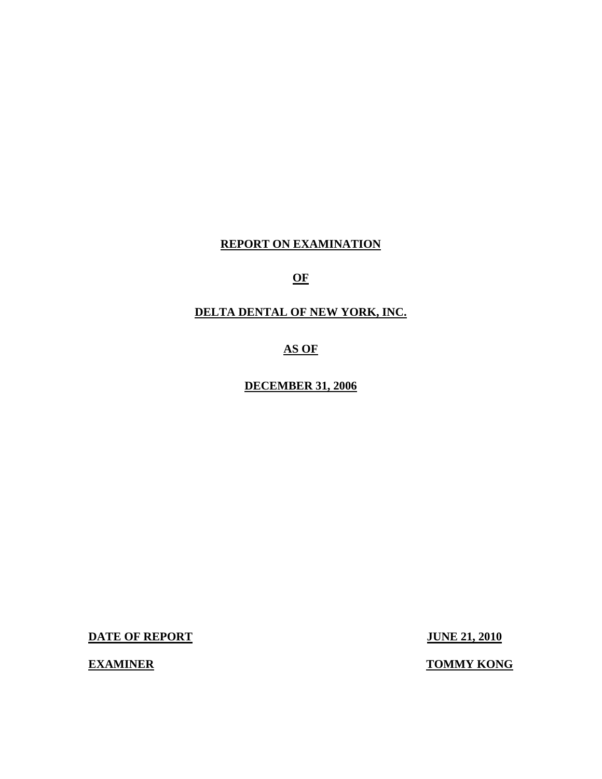# **REPORT ON EXAMINATION**

# **OF**

# **DELTA DENTAL OF NEW YORK, INC.**

# **AS OF**

# **DECEMBER 31, 2006**

**DATE OF REPORT JUNE 21, 2010** 

**EXAMINER TOMMY KONG**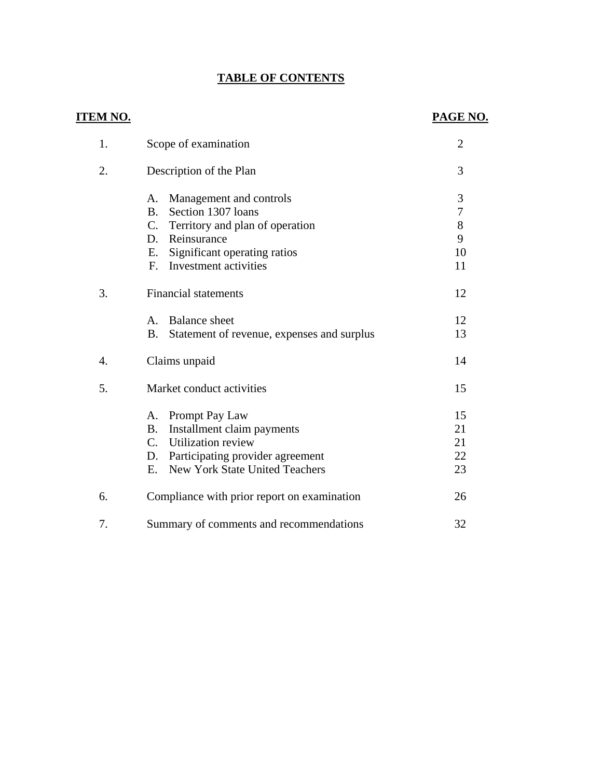# **TABLE OF CONTENTS**

# **ITEM NO. PAGE NO.**

| 1. | Scope of examination                                                                                                                                                                            | $\overline{2}$                                |
|----|-------------------------------------------------------------------------------------------------------------------------------------------------------------------------------------------------|-----------------------------------------------|
| 2. | Description of the Plan                                                                                                                                                                         | 3                                             |
|    | Management and controls<br>A.<br>Section 1307 loans<br>B <sub>1</sub><br>C. Territory and plan of operation<br>D. Reinsurance<br>Significant operating ratios<br>Е.<br>F. Investment activities | 3<br>$\overline{7}$<br>$8\,$<br>9<br>10<br>11 |
| 3. | <b>Financial statements</b>                                                                                                                                                                     | 12                                            |
|    | <b>Balance</b> sheet<br>$A_{-}$<br><b>B.</b><br>Statement of revenue, expenses and surplus                                                                                                      | 12<br>13                                      |
| 4. | Claims unpaid                                                                                                                                                                                   | 14                                            |
| 5. | Market conduct activities                                                                                                                                                                       | 15                                            |
|    | Prompt Pay Law<br>A.<br>Installment claim payments<br><b>B.</b><br>C. Utilization review<br>Participating provider agreement<br>D.<br><b>New York State United Teachers</b><br>E.               | 15<br>21<br>21<br>22<br>23                    |
| 6. | Compliance with prior report on examination                                                                                                                                                     | 26                                            |
| 7. | Summary of comments and recommendations                                                                                                                                                         | 32                                            |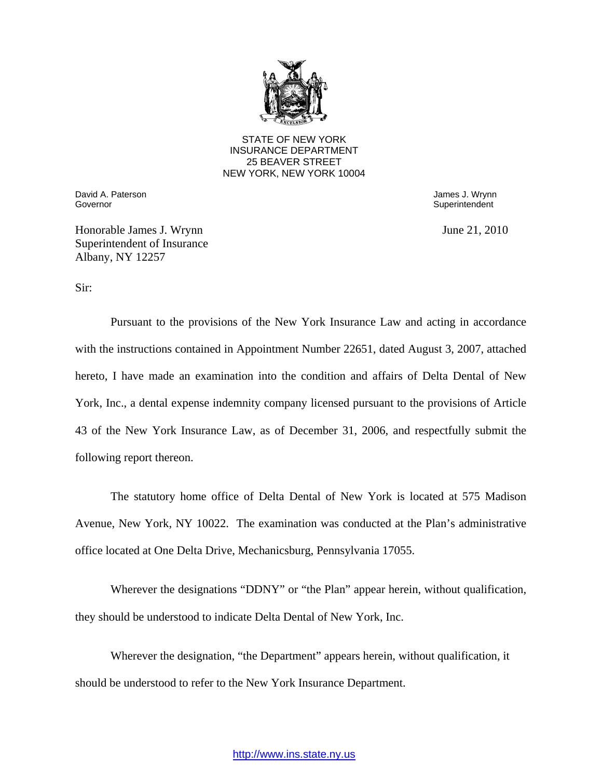

STATE OF NEW YORK INSURANCE DEPARTMENT 25 BEAVER STREET NEW YORK, NEW YORK 10004

Governor David A. Paterson **David A. Paterson** James J. Wrynn

Superintendent

Honorable James J. Wrynn June 21, 2010 Superintendent of Insurance Albany, NY 12257

Sir:

Pursuant to the provisions of the New York Insurance Law and acting in accordance with the instructions contained in Appointment Number 22651, dated August 3, 2007, attached hereto, I have made an examination into the condition and affairs of Delta Dental of New York, Inc., a dental expense indemnity company licensed pursuant to the provisions of Article 43 of the New York Insurance Law, as of December 31, 2006, and respectfully submit the following report thereon.

The statutory home office of Delta Dental of New York is located at 575 Madison Avenue, New York, NY 10022. The examination was conducted at the Plan's administrative office located at One Delta Drive, Mechanicsburg, Pennsylvania 17055.

Wherever the designations "DDNY" or "the Plan" appear herein, without qualification, they should be understood to indicate Delta Dental of New York, Inc.

Wherever the designation, "the Department" appears herein, without qualification, it should be understood to refer to the New York Insurance Department.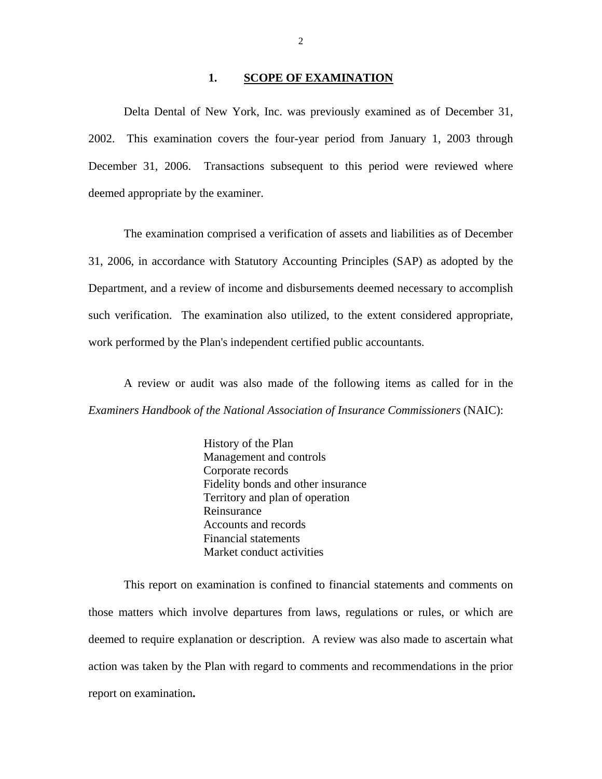#### 1. **SCOPE OF EXAMINATION**

Delta Dental of New York, Inc. was previously examined as of December 31, 2002. This examination covers the four-year period from January 1, 2003 through December 31, 2006. Transactions subsequent to this period were reviewed where deemed appropriate by the examiner.

The examination comprised a verification of assets and liabilities as of December 31, 2006, in accordance with Statutory Accounting Principles (SAP) as adopted by the Department, and a review of income and disbursements deemed necessary to accomplish such verification. The examination also utilized, to the extent considered appropriate, work performed by the Plan's independent certified public accountants.

A review or audit was also made of the following items as called for in the *Examiners Handbook of the National Association of Insurance Commissioners* (NAIC):

> History of the Plan Management and controls Corporate records Fidelity bonds and other insurance Territory and plan of operation Reinsurance Accounts and records Financial statements Market conduct activities

This report on examination is confined to financial statements and comments on those matters which involve departures from laws, regulations or rules, or which are deemed to require explanation or description. A review was also made to ascertain what action was taken by the Plan with regard to comments and recommendations in the prior report on examination**.**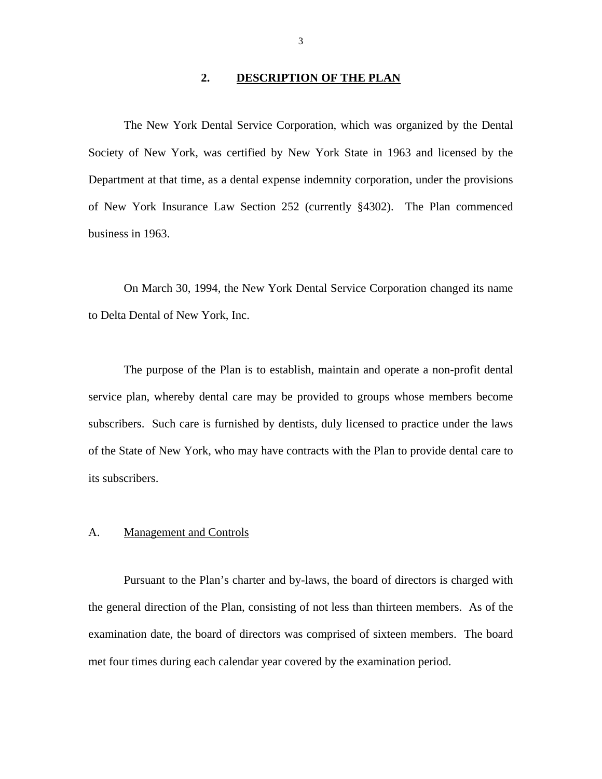#### **2. DESCRIPTION OF THE PLAN**

<span id="page-4-0"></span>The New York Dental Service Corporation, which was organized by the Dental Society of New York, was certified by New York State in 1963 and licensed by the Department at that time, as a dental expense indemnity corporation, under the provisions of New York Insurance Law Section 252 (currently §4302). The Plan commenced business in 1963.

On March 30, 1994, the New York Dental Service Corporation changed its name to Delta Dental of New York, Inc.

The purpose of the Plan is to establish, maintain and operate a non-profit dental service plan, whereby dental care may be provided to groups whose members become subscribers. Such care is furnished by dentists, duly licensed to practice under the laws of the State of New York, who may have contracts with the Plan to provide dental care to its subscribers.

#### A. Management and Controls

Pursuant to the Plan's charter and by-laws, the board of directors is charged with the general direction of the Plan, consisting of not less than thirteen members. As of the examination date, the board of directors was comprised of sixteen members. The board met four times during each calendar year covered by the examination period.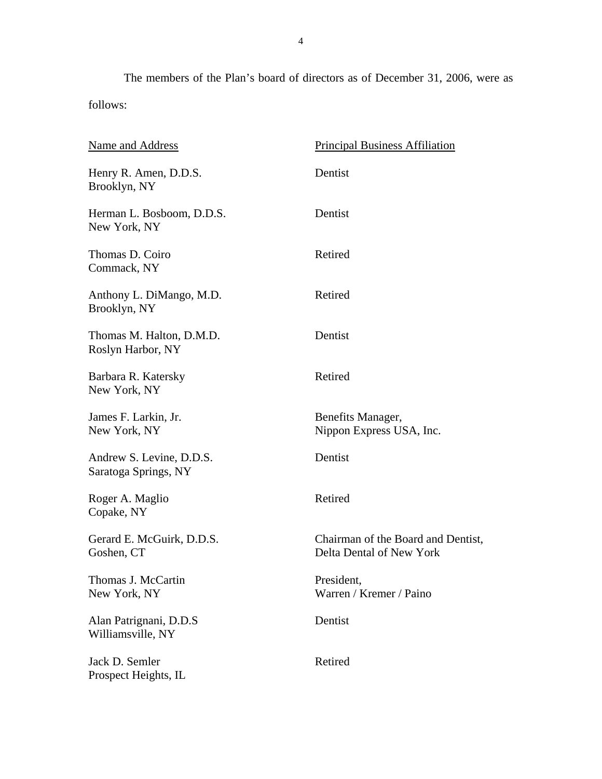The members of the Plan's board of directors as of December 31, 2006, were as follows:

| Name and Address                                 | <b>Principal Business Affiliation</b>                          |
|--------------------------------------------------|----------------------------------------------------------------|
| Henry R. Amen, D.D.S.<br>Brooklyn, NY            | Dentist                                                        |
| Herman L. Bosboom, D.D.S.<br>New York, NY        | Dentist                                                        |
| Thomas D. Coiro<br>Commack, NY                   | Retired                                                        |
| Anthony L. DiMango, M.D.<br>Brooklyn, NY         | Retired                                                        |
| Thomas M. Halton, D.M.D.<br>Roslyn Harbor, NY    | Dentist                                                        |
| Barbara R. Katersky<br>New York, NY              | Retired                                                        |
| James F. Larkin, Jr.<br>New York, NY             | Benefits Manager,<br>Nippon Express USA, Inc.                  |
| Andrew S. Levine, D.D.S.<br>Saratoga Springs, NY | Dentist                                                        |
| Roger A. Maglio<br>Copake, NY                    | Retired                                                        |
| Gerard E. McGuirk, D.D.S.<br>Goshen, CT          | Chairman of the Board and Dentist,<br>Delta Dental of New York |
| Thomas J. McCartin<br>New York, NY               | President,<br>Warren / Kremer / Paino                          |
| Alan Patrignani, D.D.S<br>Williamsville, NY      | Dentist                                                        |
| Jack D. Semler<br>Prospect Heights, IL           | Retired                                                        |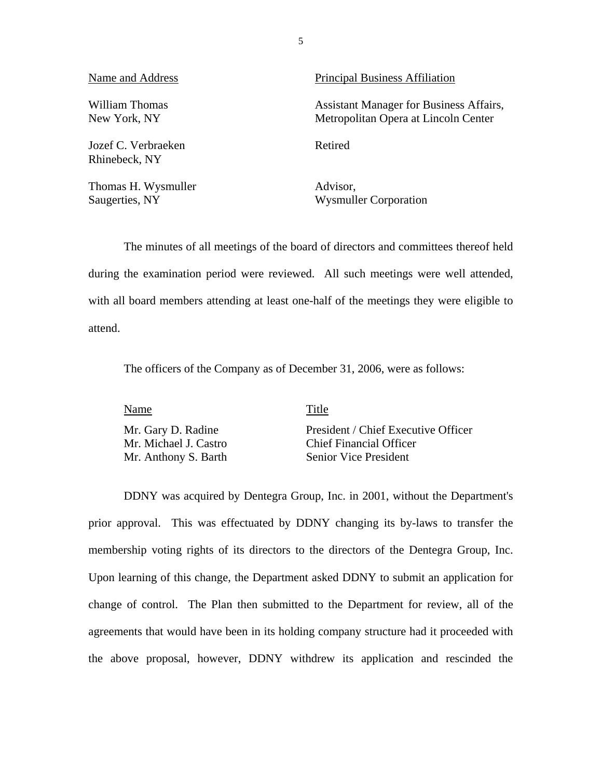Jozef C. Verbraeken Retired Rhinebeck, NY

Thomas H. Wysmuller Advisor,

Name and Address **Principal Business Affiliation** 

William Thomas **Assistant Manager for Business Affairs**, New York, NY Metropolitan Opera at Lincoln Center

Saugerties, NY Wysmuller Corporation

The minutes of all meetings of the board of directors and committees thereof held during the examination period were reviewed. All such meetings were well attended, with all board members attending at least one-half of the meetings they were eligible to attend.

The officers of the Company as of December 31, 2006, were as follows:

Name Title

Mr. Gary D. Radine President / Chief Executive Officer Mr. Michael J. Castro Chief Financial Officer Mr. Anthony S. Barth Senior Vice President

DDNY was acquired by Dentegra Group, Inc. in 2001, without the Department's prior approval. This was effectuated by DDNY changing its by-laws to transfer the membership voting rights of its directors to the directors of the Dentegra Group, Inc. Upon learning of this change, the Department asked DDNY to submit an application for change of control. The Plan then submitted to the Department for review, all of the agreements that would have been in its holding company structure had it proceeded with the above proposal, however, DDNY withdrew its application and rescinded the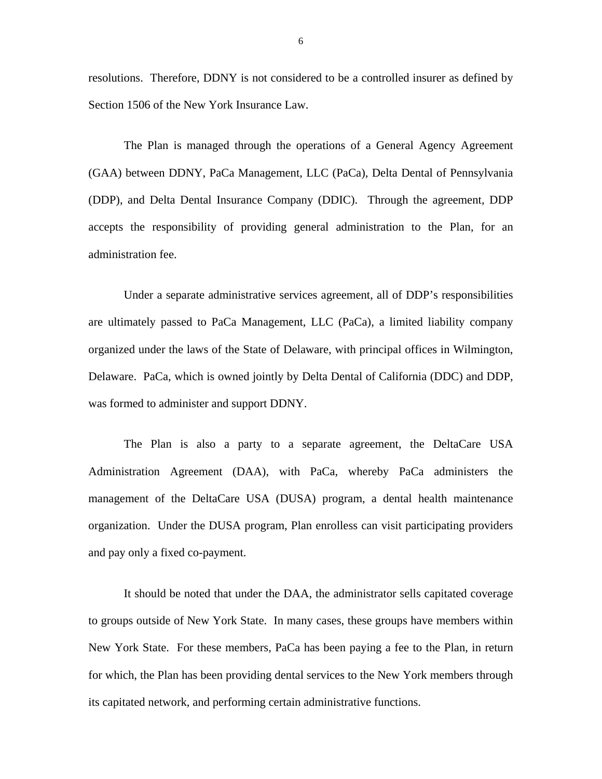resolutions. Therefore, DDNY is not considered to be a controlled insurer as defined by Section 1506 of the New York Insurance Law.

The Plan is managed through the operations of a General Agency Agreement (GAA) between DDNY, PaCa Management, LLC (PaCa), Delta Dental of Pennsylvania (DDP), and Delta Dental Insurance Company (DDIC). Through the agreement, DDP accepts the responsibility of providing general administration to the Plan, for an administration fee.

Under a separate administrative services agreement, all of DDP's responsibilities are ultimately passed to PaCa Management, LLC (PaCa), a limited liability company organized under the laws of the State of Delaware, with principal offices in Wilmington, Delaware. PaCa, which is owned jointly by Delta Dental of California (DDC) and DDP, was formed to administer and support DDNY.

The Plan is also a party to a separate agreement, the DeltaCare USA Administration Agreement (DAA), with PaCa, whereby PaCa administers the management of the DeltaCare USA (DUSA) program, a dental health maintenance organization. Under the DUSA program, Plan enrolless can visit participating providers and pay only a fixed co-payment.

It should be noted that under the DAA, the administrator sells capitated coverage to groups outside of New York State. In many cases, these groups have members within New York State. For these members, PaCa has been paying a fee to the Plan, in return for which, the Plan has been providing dental services to the New York members through its capitated network, and performing certain administrative functions.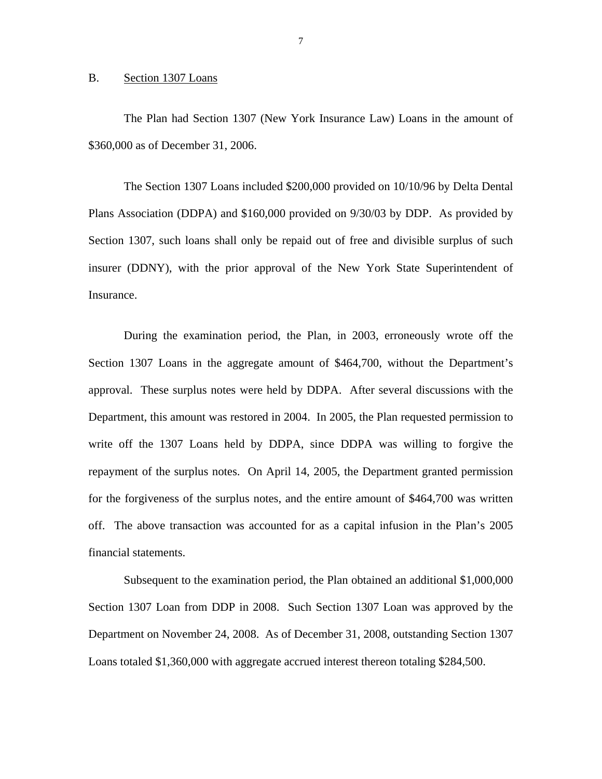#### <span id="page-8-0"></span>B. Section 1307 Loans

The Plan had Section 1307 (New York Insurance Law) Loans in the amount of \$360,000 as of December 31, 2006.

The Section 1307 Loans included \$200,000 provided on 10/10/96 by Delta Dental Plans Association (DDPA) and \$160,000 provided on 9/30/03 by DDP. As provided by Section 1307, such loans shall only be repaid out of free and divisible surplus of such insurer (DDNY), with the prior approval of the New York State Superintendent of Insurance.

During the examination period, the Plan, in 2003, erroneously wrote off the Section 1307 Loans in the aggregate amount of \$464,700, without the Department's approval. These surplus notes were held by DDPA. After several discussions with the Department, this amount was restored in 2004. In 2005, the Plan requested permission to write off the 1307 Loans held by DDPA, since DDPA was willing to forgive the repayment of the surplus notes. On April 14, 2005, the Department granted permission for the forgiveness of the surplus notes, and the entire amount of \$464,700 was written off. The above transaction was accounted for as a capital infusion in the Plan's 2005 financial statements.

Subsequent to the examination period, the Plan obtained an additional \$1,000,000 Section 1307 Loan from DDP in 2008. Such Section 1307 Loan was approved by the Department on November 24, 2008. As of December 31, 2008, outstanding Section 1307 Loans totaled \$1,360,000 with aggregate accrued interest thereon totaling \$284,500.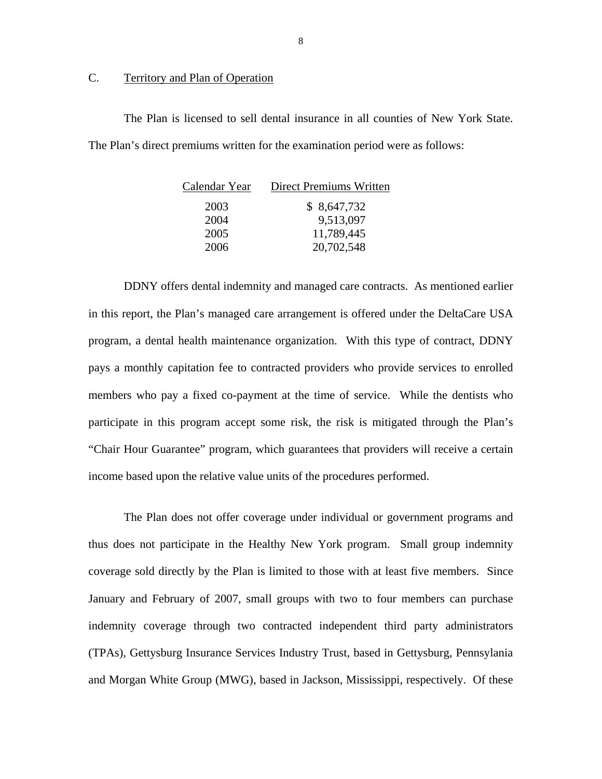# <span id="page-9-0"></span>C. Territory and Plan of Operation

The Plan is licensed to sell dental insurance in all counties of New York State. The Plan's direct premiums written for the examination period were as follows:

| Calendar Year | Direct Premiums Written |
|---------------|-------------------------|
| 2003          | \$8,647,732             |
| 2004          | 9,513,097               |
| 2005          | 11,789,445              |
| 2006          | 20,702,548              |

DDNY offers dental indemnity and managed care contracts. As mentioned earlier in this report, the Plan's managed care arrangement is offered under the DeltaCare USA program, a dental health maintenance organization. With this type of contract, DDNY pays a monthly capitation fee to contracted providers who provide services to enrolled members who pay a fixed co-payment at the time of service. While the dentists who participate in this program accept some risk, the risk is mitigated through the Plan's "Chair Hour Guarantee" program, which guarantees that providers will receive a certain income based upon the relative value units of the procedures performed.

The Plan does not offer coverage under individual or government programs and thus does not participate in the Healthy New York program. Small group indemnity coverage sold directly by the Plan is limited to those with at least five members. Since January and February of 2007, small groups with two to four members can purchase indemnity coverage through two contracted independent third party administrators (TPAs), Gettysburg Insurance Services Industry Trust, based in Gettysburg, Pennsylania and Morgan White Group (MWG), based in Jackson, Mississippi, respectively. Of these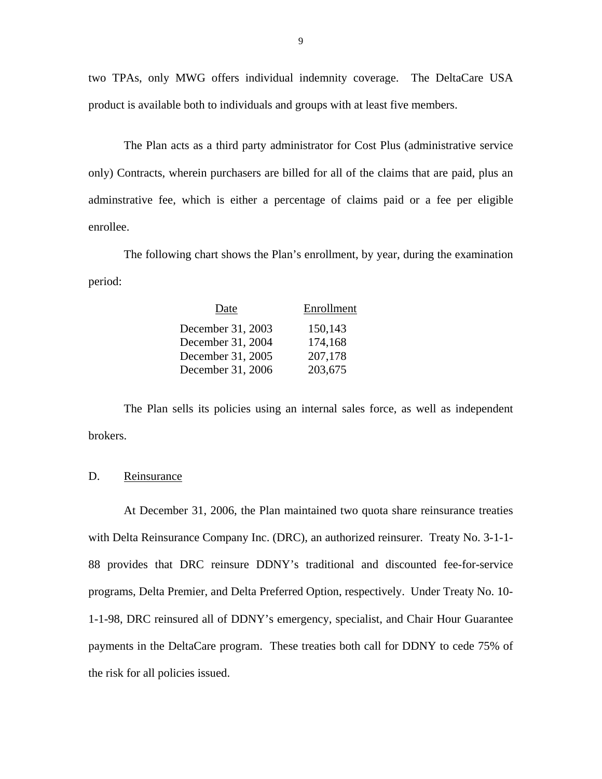two TPAs, only MWG offers individual indemnity coverage. The DeltaCare USA product is available both to individuals and groups with at least five members.

The Plan acts as a third party administrator for Cost Plus (administrative service only) Contracts, wherein purchasers are billed for all of the claims that are paid, plus an adminstrative fee, which is either a percentage of claims paid or a fee per eligible enrollee.

The following chart shows the Plan's enrollment, by year, during the examination period:

| Date              | Enrollment |
|-------------------|------------|
| December 31, 2003 | 150,143    |
| December 31, 2004 | 174,168    |
| December 31, 2005 | 207,178    |
| December 31, 2006 | 203,675    |

The Plan sells its policies using an internal sales force, as well as independent brokers.

## D. Reinsurance

At December 31, 2006, the Plan maintained two quota share reinsurance treaties with Delta Reinsurance Company Inc. (DRC), an authorized reinsurer. Treaty No. 3-1-1- 88 provides that DRC reinsure DDNY's traditional and discounted fee-for-service programs, Delta Premier, and Delta Preferred Option, respectively. Under Treaty No. 10- 1-1-98, DRC reinsured all of DDNY's emergency, specialist, and Chair Hour Guarantee payments in the DeltaCare program. These treaties both call for DDNY to cede 75% of the risk for all policies issued.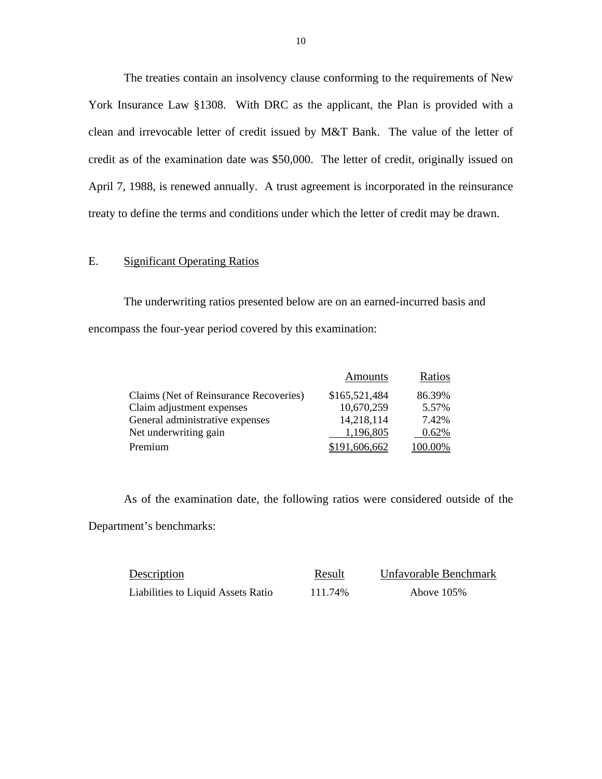The treaties contain an insolvency clause conforming to the requirements of New York Insurance Law §1308. With DRC as the applicant, the Plan is provided with a clean and irrevocable letter of credit issued by M&T Bank. The value of the letter of credit as of the examination date was \$50,000. The letter of credit, originally issued on April 7, 1988, is renewed annually. A trust agreement is incorporated in the reinsurance treaty to define the terms and conditions under which the letter of credit may be drawn.

### E. Significant Operating Ratios

The underwriting ratios presented below are on an earned-incurred basis and encompass the four-year period covered by this examination:

|                                        | Amounts       | Ratios  |
|----------------------------------------|---------------|---------|
| Claims (Net of Reinsurance Recoveries) | \$165,521,484 | 86.39%  |
| Claim adjustment expenses              | 10,670,259    | 5.57%   |
| General administrative expenses        | 14,218,114    | 7.42%   |
| Net underwriting gain                  | 1,196,805     | 0.62%   |
| Premium                                | \$191,606,662 | 100.00% |

As of the examination date, the following ratios were considered outside of the Department's benchmarks:

| Description                        | Result  | Unfavorable Benchmark |
|------------------------------------|---------|-----------------------|
| Liabilities to Liquid Assets Ratio | 111.74% | Above $105%$          |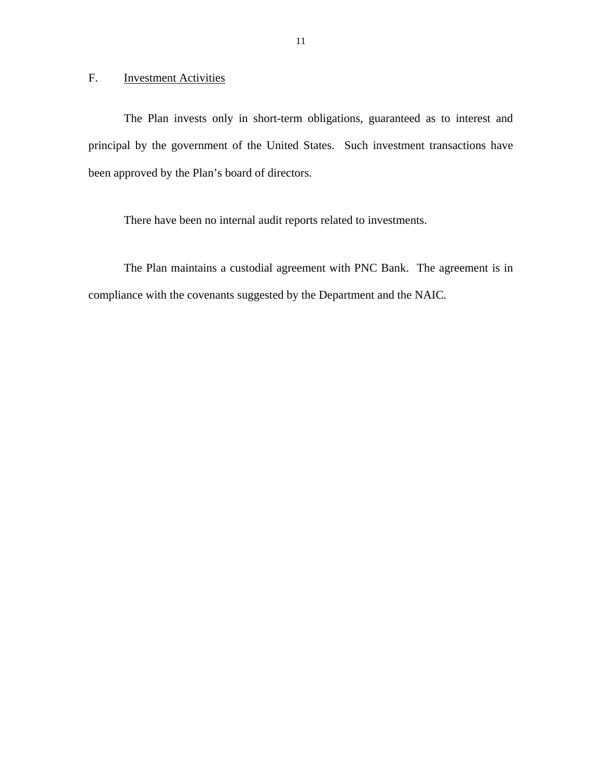<span id="page-12-0"></span>F. Investment Activities

The Plan invests only in short-term obligations, guaranteed as to interest and principal by the government of the United States. Such investment transactions have been approved by the Plan's board of directors.

There have been no internal audit reports related to investments.

The Plan maintains a custodial agreement with PNC Bank. The agreement is in compliance with the covenants suggested by the Department and the NAIC.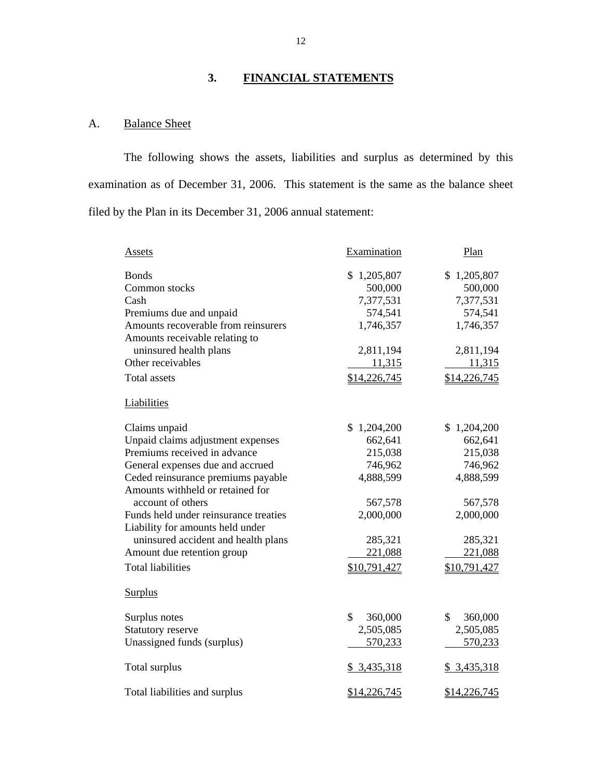# **3. FINANCIAL STATEMENTS**

# A. Balance Sheet

The following shows the assets, liabilities and surplus as determined by this examination as of December 31, 2006. This statement is the same as the balance sheet filed by the Plan in its December 31, 2006 annual statement:

| Assets                                | Examination   | Plan          |
|---------------------------------------|---------------|---------------|
| <b>Bonds</b>                          | \$1,205,807   | \$1,205,807   |
| Common stocks                         | 500,000       | 500,000       |
| Cash                                  | 7,377,531     | 7,377,531     |
| Premiums due and unpaid               | 574,541       | 574,541       |
| Amounts recoverable from reinsurers   | 1,746,357     | 1,746,357     |
| Amounts receivable relating to        |               |               |
| uninsured health plans                | 2,811,194     | 2,811,194     |
| Other receivables                     | 11,315        | 11,315        |
| <b>Total assets</b>                   | \$14,226,745  | \$14,226,745  |
| Liabilities                           |               |               |
| Claims unpaid                         | \$1,204,200   | \$1,204,200   |
| Unpaid claims adjustment expenses     | 662,641       | 662,641       |
| Premiums received in advance          | 215,038       | 215,038       |
| General expenses due and accrued      | 746,962       | 746,962       |
| Ceded reinsurance premiums payable    | 4,888,599     | 4,888,599     |
| Amounts withheld or retained for      |               |               |
| account of others                     | 567,578       | 567,578       |
| Funds held under reinsurance treaties | 2,000,000     | 2,000,000     |
| Liability for amounts held under      |               |               |
| uninsured accident and health plans   | 285,321       | 285,321       |
| Amount due retention group            | 221,088       | 221,088       |
| <b>Total liabilities</b>              | \$10,791,427  | \$10,791,427  |
| <b>Surplus</b>                        |               |               |
| Surplus notes                         | \$<br>360,000 | \$<br>360,000 |
| Statutory reserve                     | 2,505,085     | 2,505,085     |
| Unassigned funds (surplus)            | 570,233       | 570,233       |
| Total surplus                         | \$3,435,318   | \$3,435,318   |
| Total liabilities and surplus         | \$14,226,745  | \$14,226,745  |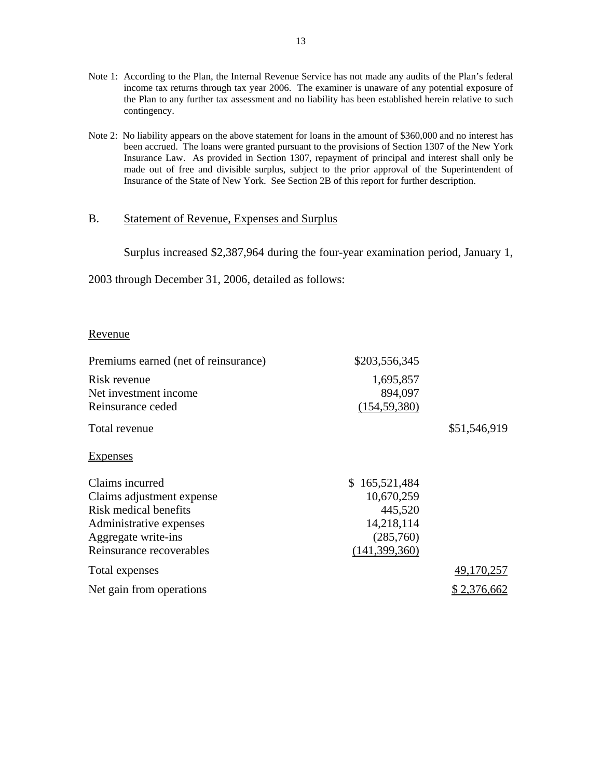- the Plan to any further tax assessment and no liability has been established herein relative to such Note 1: According to the Plan, the Internal Revenue Service has not made any audits of the Plan's federal income tax returns through tax year 2006. The examiner is unaware of any potential exposure of contingency.
- Note 2: No liability appears on the above statement for loans in the amount of \$360,000 and no interest has made out of free and divisible surplus, subject to the prior approval of the Superintendent of been accrued. The loans were granted pursuant to the provisions of Section 1307 of the New York Insurance Law. As provided in Section 1307, repayment of principal and interest shall only be Insurance of the State of New York. See Section 2B of this report for further description.

# B. Statement of Revenue, Expenses and Surplus

Surplus increased \$2,387,964 during the four-year examination period, January 1,

2003 through December 31, 2006, detailed as follows:

## Revenue

| Premiums earned (net of reinsurance) | \$203,556,345   |              |
|--------------------------------------|-----------------|--------------|
| Risk revenue                         | 1,695,857       |              |
| Net investment income                | 894,097         |              |
| Reinsurance ceded                    | (154, 59, 380)  |              |
| Total revenue                        |                 | \$51,546,919 |
| <b>Expenses</b>                      |                 |              |
| Claims incurred                      | \$165,521,484   |              |
| Claims adjustment expense            | 10,670,259      |              |
| Risk medical benefits                | 445,520         |              |
| Administrative expenses              | 14,218,114      |              |
| Aggregate write-ins                  | (285,760)       |              |
| Reinsurance recoverables             | (141, 399, 360) |              |
| Total expenses                       |                 | 49,170,257   |
| Net gain from operations             |                 | 2,376,662    |
|                                      |                 |              |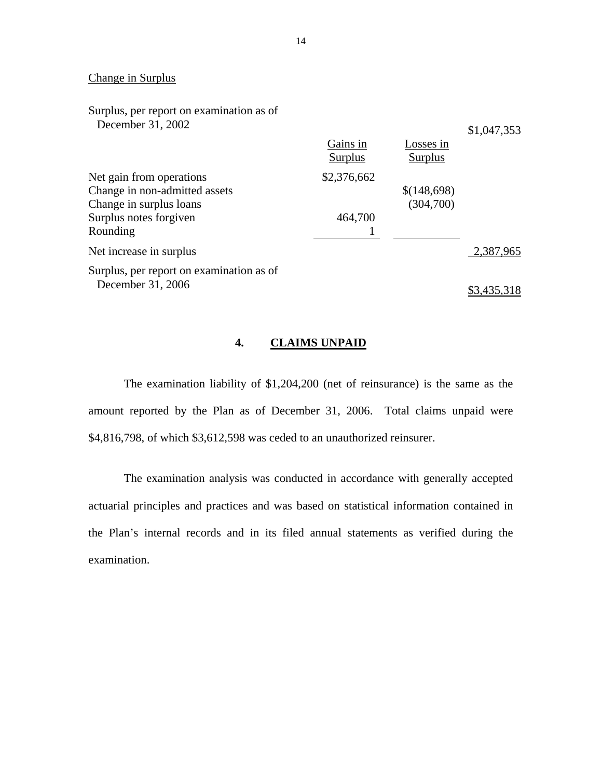# Change in Surplus

| Surplus, per report on examination as of |                     |                      |             |
|------------------------------------------|---------------------|----------------------|-------------|
| December 31, 2002                        |                     |                      | \$1,047,353 |
|                                          | Gains in<br>Surplus | Losses in<br>Surplus |             |
| Net gain from operations                 | \$2,376,662         |                      |             |
| Change in non-admitted assets            |                     | \$(148,698)          |             |
| Change in surplus loans                  |                     | (304,700)            |             |
| Surplus notes forgiven                   | 464,700             |                      |             |
| Rounding                                 |                     |                      |             |
| Net increase in surplus                  |                     |                      | 2,387,965   |
| Surplus, per report on examination as of |                     |                      |             |
| December 31, 2006                        |                     |                      |             |

# **4. CLAIMS UNPAID**

The examination liability of \$1,204,200 (net of reinsurance) is the same as the amount reported by the Plan as of December 31, 2006. Total claims unpaid were \$4,816,798, of which \$3,612,598 was ceded to an unauthorized reinsurer.

The examination analysis was conducted in accordance with generally accepted actuarial principles and practices and was based on statistical information contained in the Plan's internal records and in its filed annual statements as verified during the examination.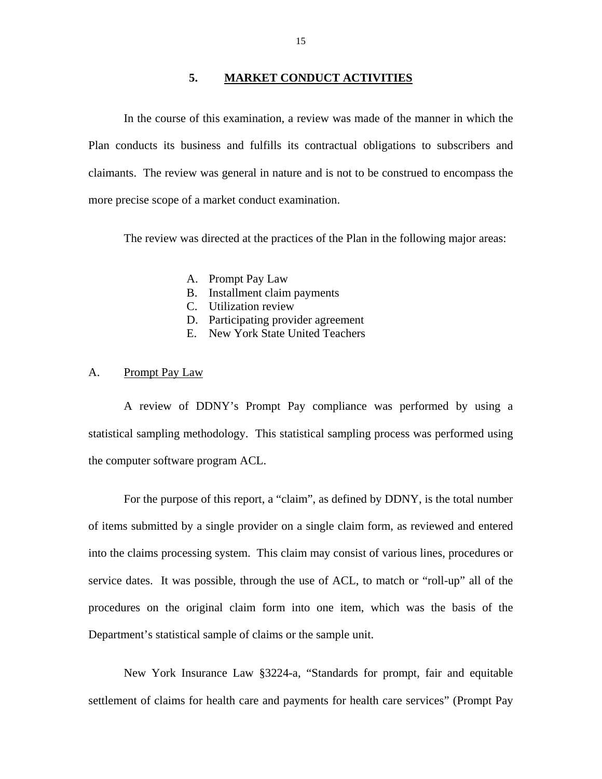## **5. MARKET CONDUCT ACTIVITIES**

<span id="page-16-0"></span>In the course of this examination, a review was made of the manner in which the Plan conducts its business and fulfills its contractual obligations to subscribers and claimants. The review was general in nature and is not to be construed to encompass the more precise scope of a market conduct examination.

The review was directed at the practices of the Plan in the following major areas:

- A. Prompt Pay Law
- B. Installment claim payments
- C. Utilization review
- D. Participating provider agreement
- E. New York State United Teachers

#### A. Prompt Pay Law

A review of DDNY's Prompt Pay compliance was performed by using a statistical sampling methodology. This statistical sampling process was performed using the computer software program ACL.

For the purpose of this report, a "claim", as defined by DDNY, is the total number of items submitted by a single provider on a single claim form, as reviewed and entered into the claims processing system. This claim may consist of various lines, procedures or service dates. It was possible, through the use of ACL, to match or "roll-up" all of the procedures on the original claim form into one item, which was the basis of the Department's statistical sample of claims or the sample unit.

New York Insurance Law §3224-a, "Standards for prompt, fair and equitable settlement of claims for health care and payments for health care services" (Prompt Pay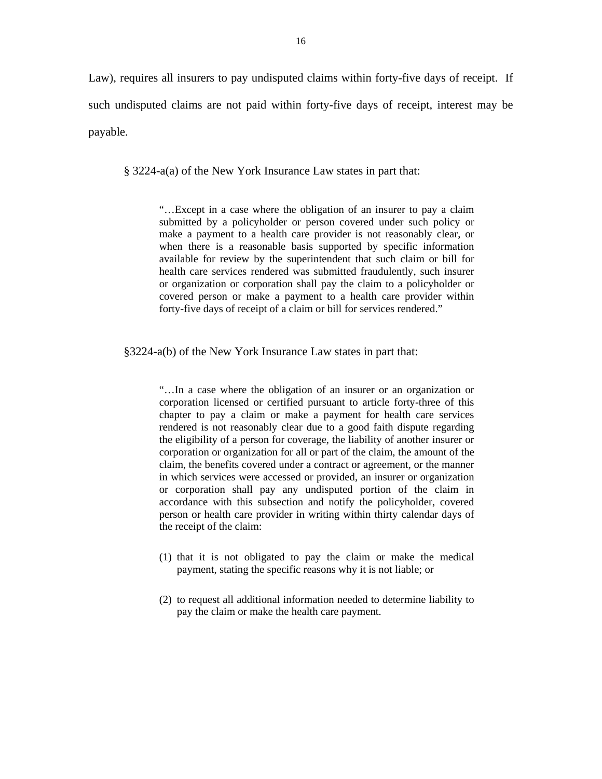Law), requires all insurers to pay undisputed claims within forty-five days of receipt. If such undisputed claims are not paid within forty-five days of receipt, interest may be payable.

§ 3224-a(a) of the New York Insurance Law states in part that:

"…Except in a case where the obligation of an insurer to pay a claim submitted by a policyholder or person covered under such policy or make a payment to a health care provider is not reasonably clear, or when there is a reasonable basis supported by specific information available for review by the superintendent that such claim or bill for health care services rendered was submitted fraudulently, such insurer or organization or corporation shall pay the claim to a policyholder or covered person or make a payment to a health care provider within forty-five days of receipt of a claim or bill for services rendered."

§3224-a(b) of the New York Insurance Law states in part that:

 person or health care provider in writing within thirty calendar days of "…In a case where the obligation of an insurer or an organization or corporation licensed or certified pursuant to article forty-three of this chapter to pay a claim or make a payment for health care services rendered is not reasonably clear due to a good faith dispute regarding the eligibility of a person for coverage, the liability of another insurer or corporation or organization for all or part of the claim, the amount of the claim, the benefits covered under a contract or agreement, or the manner in which services were accessed or provided, an insurer or organization or corporation shall pay any undisputed portion of the claim in accordance with this subsection and notify the policyholder, covered the receipt of the claim:

- (1) that it is not obligated to pay the claim or make the medical payment, stating the specific reasons why it is not liable; or
- (2) to request all additional information needed to determine liability to pay the claim or make the health care payment.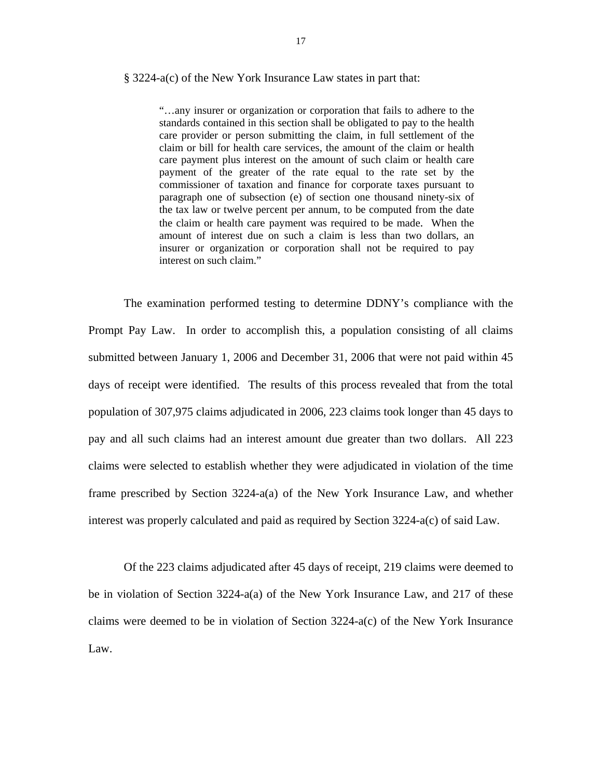#### § 3224-a(c) of the New York Insurance Law states in part that:

"…any insurer or organization or corporation that fails to adhere to the standards contained in this section shall be obligated to pay to the health care provider or person submitting the claim, in full settlement of the claim or bill for health care services, the amount of the claim or health care payment plus interest on the amount of such claim or health care payment of the greater of the rate equal to the rate set by the commissioner of taxation and finance for corporate taxes pursuant to paragraph one of subsection (e) of section one thousand ninety-six of the tax law or twelve percent per annum, to be computed from the date the claim or health care payment was required to be made. When the amount of interest due on such a claim is less than two dollars, an insurer or organization or corporation shall not be required to pay interest on such claim."

The examination performed testing to determine DDNY's compliance with the Prompt Pay Law. In order to accomplish this, a population consisting of all claims submitted between January 1, 2006 and December 31, 2006 that were not paid within 45 days of receipt were identified. The results of this process revealed that from the total population of 307,975 claims adjudicated in 2006, 223 claims took longer than 45 days to pay and all such claims had an interest amount due greater than two dollars. All 223 claims were selected to establish whether they were adjudicated in violation of the time frame prescribed by Section 3224-a(a) of the New York Insurance Law, and whether interest was properly calculated and paid as required by Section 3224-a(c) of said Law.

Of the 223 claims adjudicated after 45 days of receipt, 219 claims were deemed to be in violation of Section 3224-a(a) of the New York Insurance Law, and 217 of these claims were deemed to be in violation of Section  $3224-a(c)$  of the New York Insurance Law.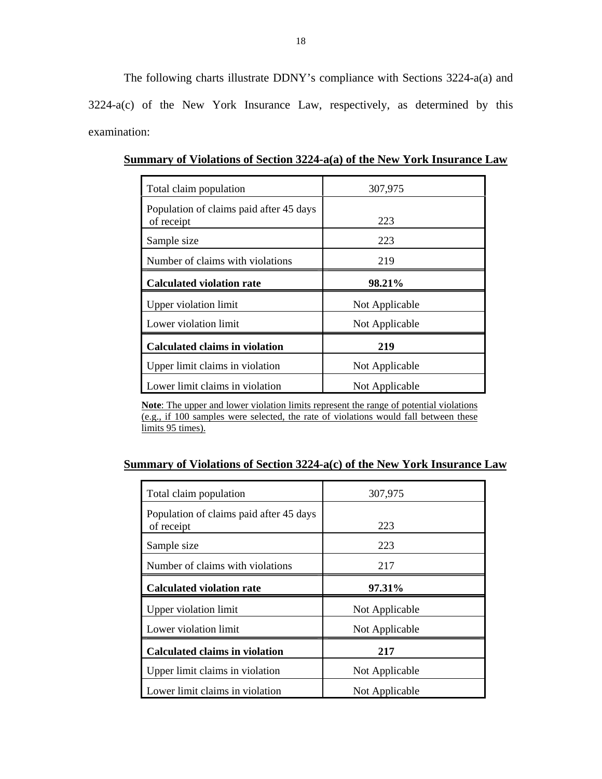The following charts illustrate DDNY's compliance with Sections 3224-a(a) and 3224-a(c) of the New York Insurance Law, respectively, as determined by this examination:

| Total claim population                                | 307,975        |
|-------------------------------------------------------|----------------|
| Population of claims paid after 45 days<br>of receipt | 223            |
| Sample size                                           | 223            |
| Number of claims with violations                      | 219            |
| <b>Calculated violation rate</b>                      | 98.21%         |
| Upper violation limit                                 | Not Applicable |
| Lower violation limit                                 | Not Applicable |
| <b>Calculated claims in violation</b>                 | 219            |
| Upper limit claims in violation                       | Not Applicable |
| Lower limit claims in violation                       | Not Applicable |

**Summary of Violations of Section 3224-a(a) of the New York Insurance Law** 

**Note**: The upper and lower violation limits represent the range of potential violations (e.g., if 100 samples were selected, the rate of violations would fall between these limits 95 times).

# **Summary of Violations of Section 3224-a(c) of the New York Insurance Law**

| Total claim population                                | 307,975        |
|-------------------------------------------------------|----------------|
| Population of claims paid after 45 days<br>of receipt | 223            |
| Sample size                                           | 223            |
| Number of claims with violations                      | 217            |
| <b>Calculated violation rate</b>                      | 97.31%         |
| Upper violation limit                                 | Not Applicable |
| Lower violation limit                                 | Not Applicable |
| <b>Calculated claims in violation</b>                 | 217            |
| Upper limit claims in violation                       | Not Applicable |
| Lower limit claims in violation                       | Not Applicable |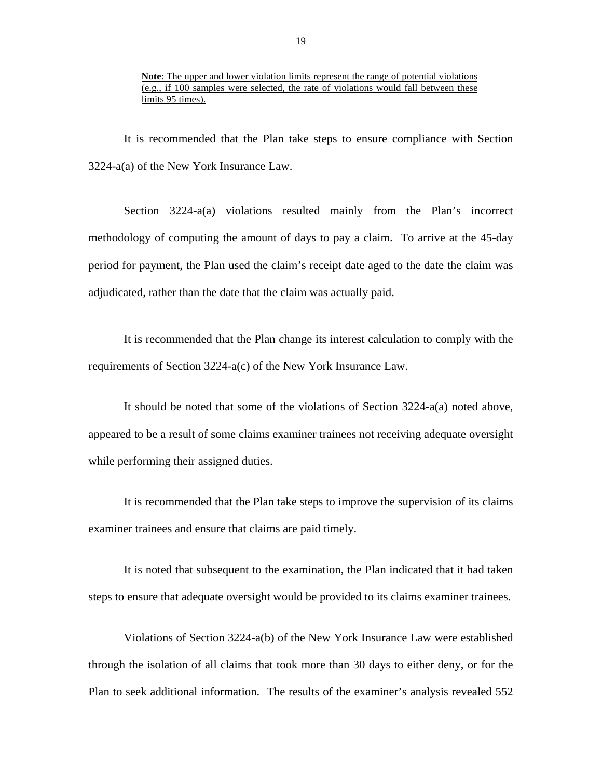It is recommended that the Plan take steps to ensure compliance with Section 3224-a(a) of the New York Insurance Law.

Section 3224-a(a) violations resulted mainly from the Plan's incorrect methodology of computing the amount of days to pay a claim. To arrive at the 45-day period for payment, the Plan used the claim's receipt date aged to the date the claim was adjudicated, rather than the date that the claim was actually paid.

It is recommended that the Plan change its interest calculation to comply with the requirements of Section 3224-a(c) of the New York Insurance Law.

It should be noted that some of the violations of Section 3224-a(a) noted above, appeared to be a result of some claims examiner trainees not receiving adequate oversight while performing their assigned duties.

It is recommended that the Plan take steps to improve the supervision of its claims examiner trainees and ensure that claims are paid timely.

It is noted that subsequent to the examination, the Plan indicated that it had taken steps to ensure that adequate oversight would be provided to its claims examiner trainees.

Violations of Section 3224-a(b) of the New York Insurance Law were established through the isolation of all claims that took more than 30 days to either deny, or for the Plan to seek additional information. The results of the examiner's analysis revealed 552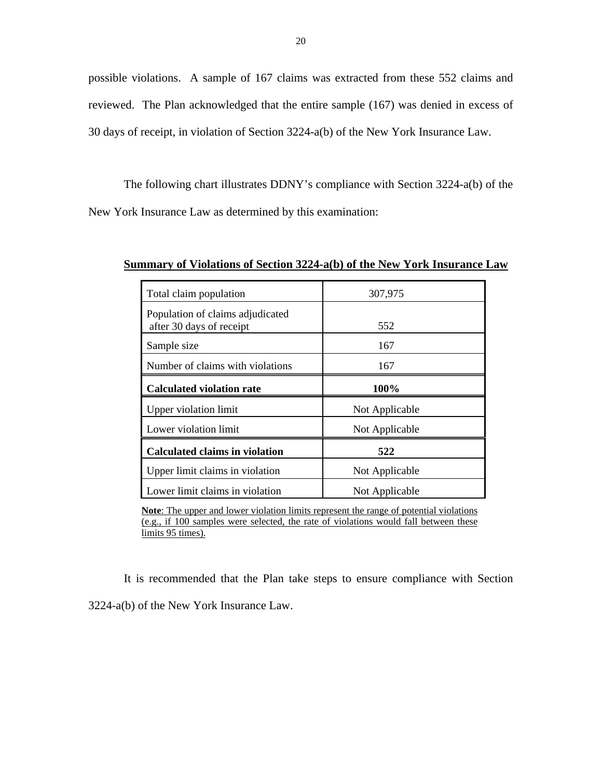possible violations. A sample of 167 claims was extracted from these 552 claims and reviewed. The Plan acknowledged that the entire sample (167) was denied in excess of 30 days of receipt, in violation of Section 3224-a(b) of the New York Insurance Law.

The following chart illustrates DDNY's compliance with Section 3224-a(b) of the New York Insurance Law as determined by this examination:

Total claim population and the 307,975 Population of claims adjudicated after 30 days of receipt 552 Sample size 167 Number of claims with violations 167 **Calculated violation rate 100%**  Upper violation limit Not Applicable Lower violation limit  $\vert$  Not Applicable **Calculated claims in violation 522**  Upper limit claims in violation Not Applicable Lower limit claims in violation Not Applicable

**Summary of Violations of Section 3224-a(b) of the New York Insurance Law** 

**Note**: The upper and lower violation limits represent the range of potential violations (e.g., if 100 samples were selected, the rate of violations would fall between these limits 95 times).

It is recommended that the Plan take steps to ensure compliance with Section 3224-a(b) of the New York Insurance Law.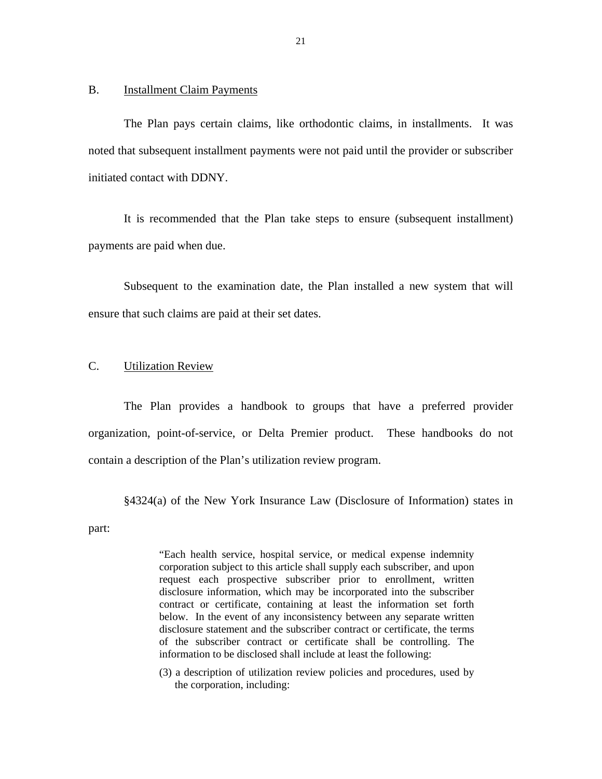#### <span id="page-22-0"></span>B. Installment Claim Payments

The Plan pays certain claims, like orthodontic claims, in installments. It was noted that subsequent installment payments were not paid until the provider or subscriber initiated contact with DDNY.

It is recommended that the Plan take steps to ensure (subsequent installment) payments are paid when due.

Subsequent to the examination date, the Plan installed a new system that will ensure that such claims are paid at their set dates.

#### C. Utilization Review

The Plan provides a handbook to groups that have a preferred provider organization, point-of-service, or Delta Premier product. These handbooks do not contain a description of the Plan's utilization review program.

§4324(a) of the New York Insurance Law (Disclosure of Information) states in

part:

"Each health service, hospital service, or medical expense indemnity corporation subject to this article shall supply each subscriber, and upon request each prospective subscriber prior to enrollment, written disclosure information, which may be incorporated into the subscriber contract or certificate, containing at least the information set forth below. In the event of any inconsistency between any separate written disclosure statement and the subscriber contract or certificate, the terms of the subscriber contract or certificate shall be controlling. The information to be disclosed shall include at least the following:

(3) a description of utilization review policies and procedures, used by the corporation, including: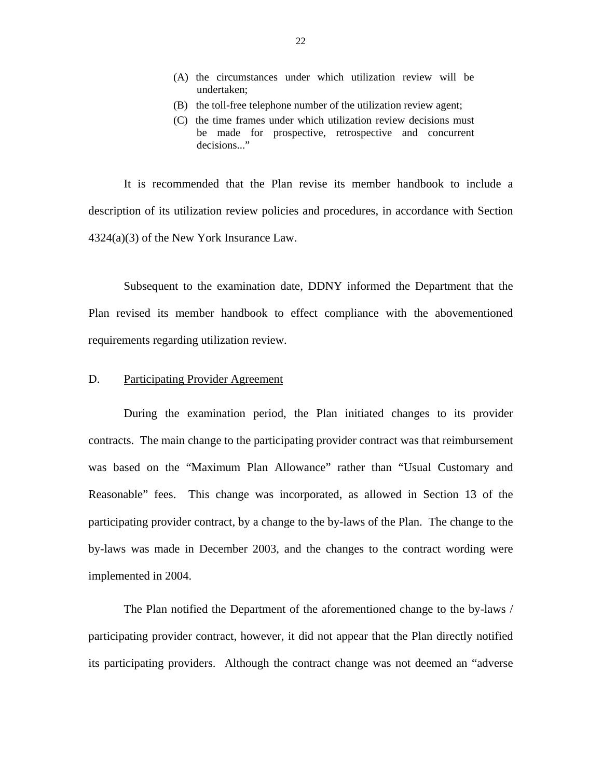- <span id="page-23-0"></span>(A) the circumstances under which utilization review will be undertaken;
- (B) the toll-free telephone number of the utilization review agent;
- (C) the time frames under which utilization review decisions must be made for prospective, retrospective and concurrent decisions..."

It is recommended that the Plan revise its member handbook to include a description of its utilization review policies and procedures, in accordance with Section 4324(a)(3) of the New York Insurance Law.

Subsequent to the examination date, DDNY informed the Department that the Plan revised its member handbook to effect compliance with the abovementioned requirements regarding utilization review.

#### D. Participating Provider Agreement

During the examination period, the Plan initiated changes to its provider contracts. The main change to the participating provider contract was that reimbursement was based on the "Maximum Plan Allowance" rather than "Usual Customary and Reasonable" fees. This change was incorporated, as allowed in Section 13 of the participating provider contract, by a change to the by-laws of the Plan. The change to the by-laws was made in December 2003, and the changes to the contract wording were implemented in 2004.

The Plan notified the Department of the aforementioned change to the by-laws / participating provider contract, however, it did not appear that the Plan directly notified its participating providers. Although the contract change was not deemed an "adverse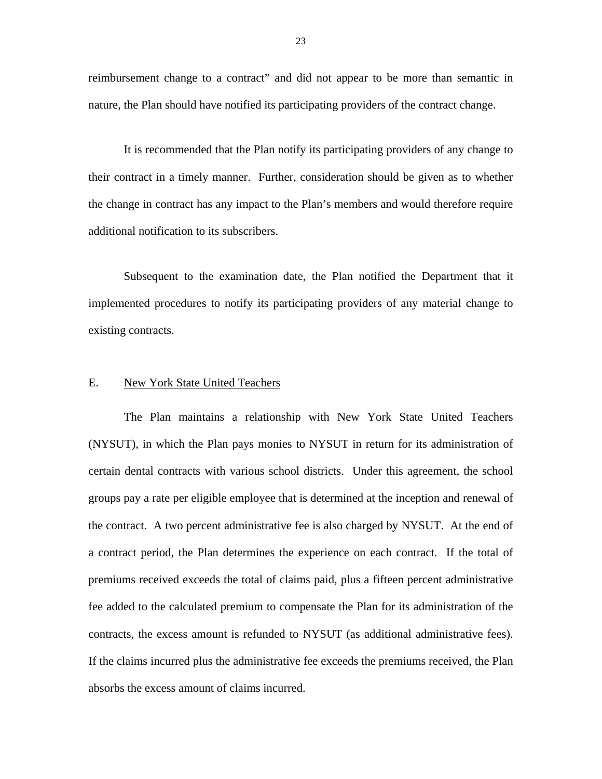<span id="page-24-0"></span>reimbursement change to a contract" and did not appear to be more than semantic in nature, the Plan should have notified its participating providers of the contract change.

It is recommended that the Plan notify its participating providers of any change to their contract in a timely manner. Further, consideration should be given as to whether the change in contract has any impact to the Plan's members and would therefore require additional notification to its subscribers.

Subsequent to the examination date, the Plan notified the Department that it implemented procedures to notify its participating providers of any material change to existing contracts.

#### E. New York State United Teachers

contracts, the excess amount is refunded to NYSUT (as additional administrative fees). The Plan maintains a relationship with New York State United Teachers (NYSUT), in which the Plan pays monies to NYSUT in return for its administration of certain dental contracts with various school districts. Under this agreement, the school groups pay a rate per eligible employee that is determined at the inception and renewal of the contract. A two percent administrative fee is also charged by NYSUT. At the end of a contract period, the Plan determines the experience on each contract. If the total of premiums received exceeds the total of claims paid, plus a fifteen percent administrative fee added to the calculated premium to compensate the Plan for its administration of the If the claims incurred plus the administrative fee exceeds the premiums received, the Plan absorbs the excess amount of claims incurred.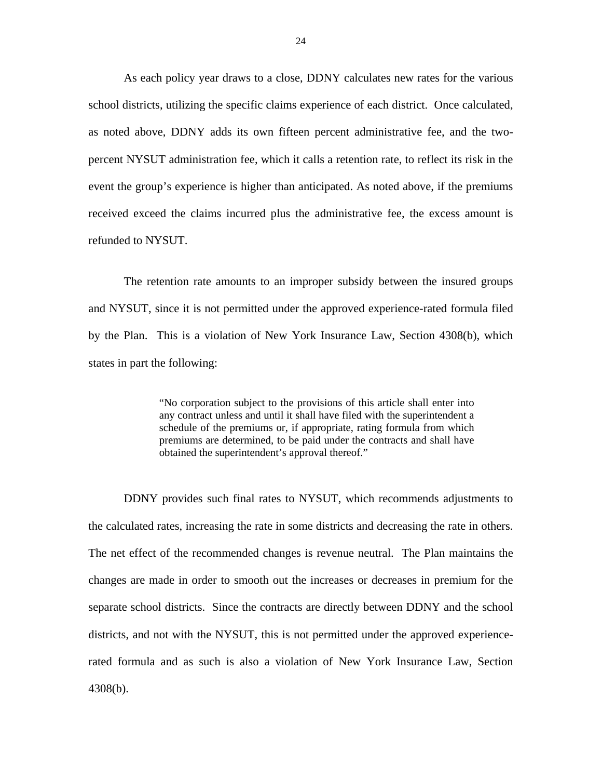As each policy year draws to a close, DDNY calculates new rates for the various school districts, utilizing the specific claims experience of each district. Once calculated, as noted above, DDNY adds its own fifteen percent administrative fee, and the twopercent NYSUT administration fee, which it calls a retention rate, to reflect its risk in the event the group's experience is higher than anticipated. As noted above, if the premiums received exceed the claims incurred plus the administrative fee, the excess amount is refunded to NYSUT.

The retention rate amounts to an improper subsidy between the insured groups and NYSUT, since it is not permitted under the approved experience-rated formula filed by the Plan. This is a violation of New York Insurance Law, Section 4308(b), which states in part the following:

> schedule of the premiums or, if appropriate, rating formula from which "No corporation subject to the provisions of this article shall enter into any contract unless and until it shall have filed with the superintendent a premiums are determined, to be paid under the contracts and shall have obtained the superintendent's approval thereof."

DDNY provides such final rates to NYSUT, which recommends adjustments to the calculated rates, increasing the rate in some districts and decreasing the rate in others. The net effect of the recommended changes is revenue neutral. The Plan maintains the changes are made in order to smooth out the increases or decreases in premium for the separate school districts. Since the contracts are directly between DDNY and the school districts, and not with the NYSUT, this is not permitted under the approved experiencerated formula and as such is also a violation of New York Insurance Law, Section 4308(b).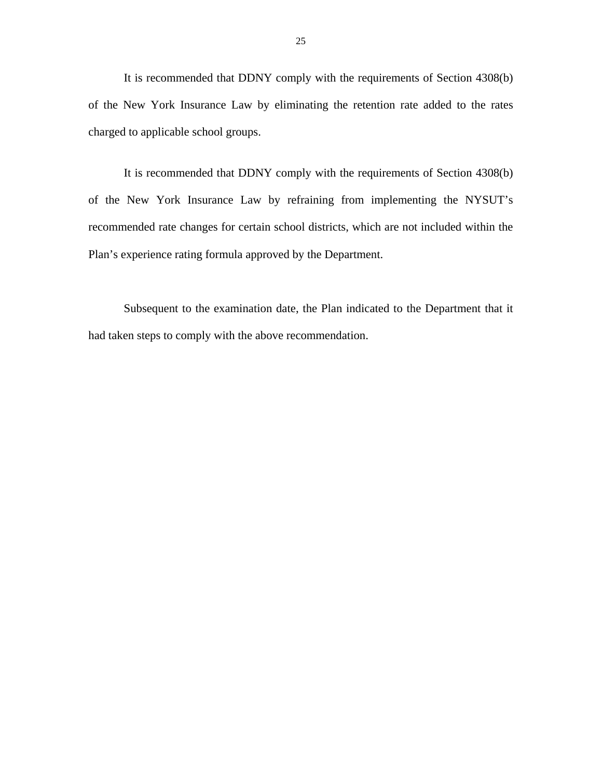It is recommended that DDNY comply with the requirements of Section 4308(b) of the New York Insurance Law by eliminating the retention rate added to the rates charged to applicable school groups.

It is recommended that DDNY comply with the requirements of Section 4308(b) of the New York Insurance Law by refraining from implementing the NYSUT's recommended rate changes for certain school districts, which are not included within the Plan's experience rating formula approved by the Department.

Subsequent to the examination date, the Plan indicated to the Department that it had taken steps to comply with the above recommendation.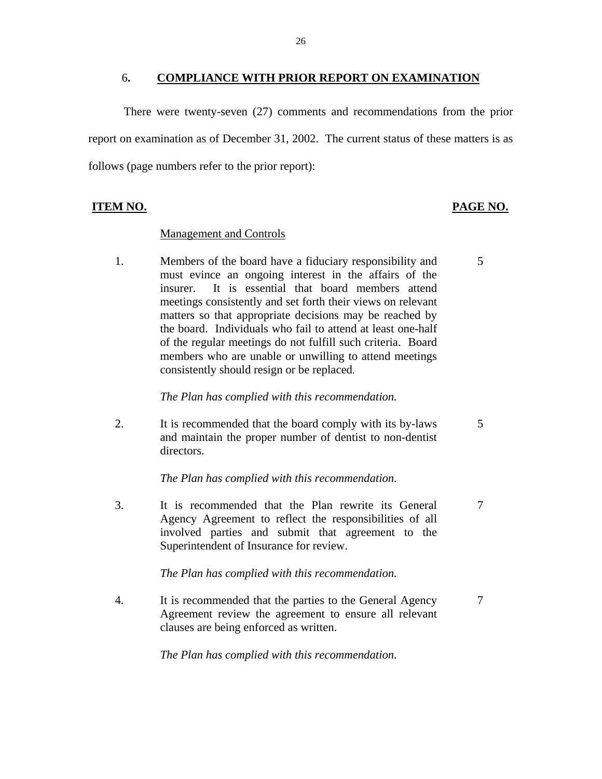#### 6**. COMPLIANCE WITH PRIOR REPORT ON EXAMINATION**

<span id="page-27-0"></span>There were twenty-seven (27) comments and recommendations from the prior report on examination as of December 31, 2002. The current status of these matters is as follows (page numbers refer to the prior report):

# **ITEM NO. PAGE NO.**

#### **Management and Controls**

1. Members of the board have a fiduciary responsibility and 5 must evince an ongoing interest in the affairs of the insurer. It is essential that board members attend meetings consistently and set forth their views on relevant matters so that appropriate decisions may be reached by the board. Individuals who fail to attend at least one-half of the regular meetings do not fulfill such criteria. Board members who are unable or unwilling to attend meetings consistently should resign or be replaced.

#### *The Plan has complied with this recommendation.*

2. It is recommended that the board comply with its by-laws 5 and maintain the proper number of dentist to non-dentist directors.

*The Plan has complied with this recommendation.* 

3. It is recommended that the Plan rewrite its General 7 Agency Agreement to reflect the responsibilities of all involved parties and submit that agreement to the Superintendent of Insurance for review.

*The Plan has complied with this recommendation.* 

4. It is recommended that the parties to the General Agency 7 Agreement review the agreement to ensure all relevant clauses are being enforced as written.

*The Plan has complied with this recommendation.*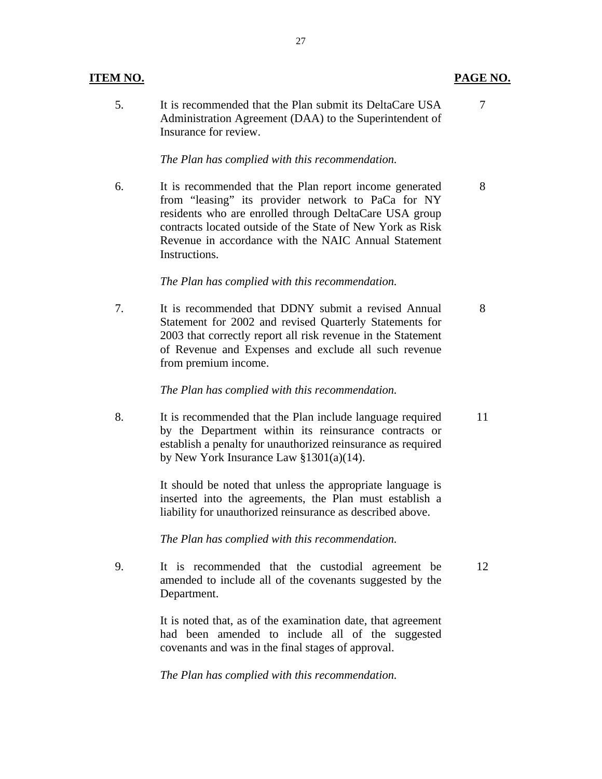5. It is recommended that the Plan submit its DeltaCare USA 7 Administration Agreement (DAA) to the Superintendent of Insurance for review.

27

#### *The Plan has complied with this recommendation.*

6. It is recommended that the Plan report income generated 8 from "leasing" its provider network to PaCa for NY residents who are enrolled through DeltaCare USA group contracts located outside of the State of New York as Risk Revenue in accordance with the NAIC Annual Statement Instructions.

#### *The Plan has complied with this recommendation.*

7. It is recommended that DDNY submit a revised Annual 8 Statement for 2002 and revised Quarterly Statements for 2003 that correctly report all risk revenue in the Statement of Revenue and Expenses and exclude all such revenue from premium income.

#### *The Plan has complied with this recommendation.*

8. It is recommended that the Plan include language required 11 by the Department within its reinsurance contracts or establish a penalty for unauthorized reinsurance as required by New York Insurance Law §1301(a)(14).

> It should be noted that unless the appropriate language is inserted into the agreements, the Plan must establish a liability for unauthorized reinsurance as described above.

*The Plan has complied with this recommendation.* 

9. It is recommended that the custodial agreement be 12 amended to include all of the covenants suggested by the Department.

> It is noted that, as of the examination date, that agreement had been amended to include all of the suggested covenants and was in the final stages of approval.

*The Plan has complied with this recommendation.* 

## **ITEM NO. PAGE NO. PAGE NO.**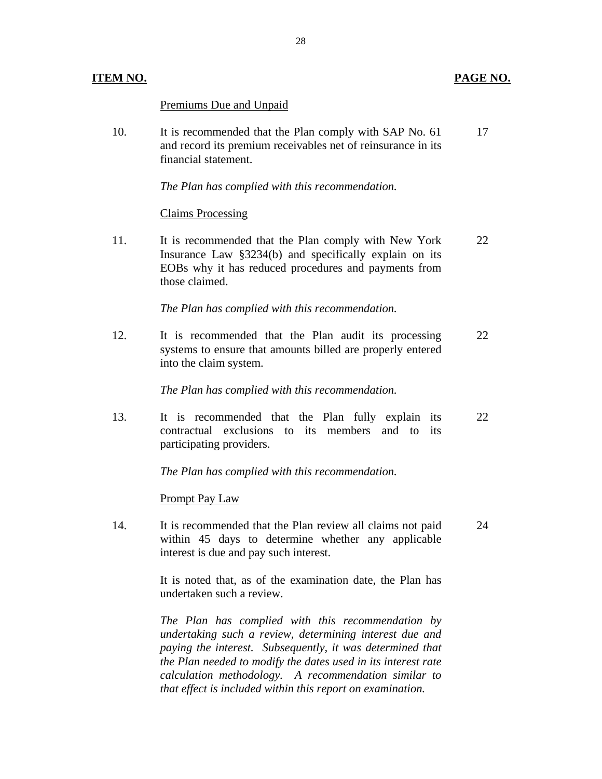| TEM NO. |                                                                                                                                                                                                                                                                                                                                                                  | PAGE NO. |
|---------|------------------------------------------------------------------------------------------------------------------------------------------------------------------------------------------------------------------------------------------------------------------------------------------------------------------------------------------------------------------|----------|
|         | <b>Premiums Due and Unpaid</b>                                                                                                                                                                                                                                                                                                                                   |          |
| 10.     | It is recommended that the Plan comply with SAP No. 61<br>and record its premium receivables net of reinsurance in its<br>financial statement.                                                                                                                                                                                                                   | 17       |
|         | The Plan has complied with this recommendation.                                                                                                                                                                                                                                                                                                                  |          |
|         | <b>Claims Processing</b>                                                                                                                                                                                                                                                                                                                                         |          |
| 11.     | It is recommended that the Plan comply with New York<br>Insurance Law $\S 3234(b)$ and specifically explain on its<br>EOBs why it has reduced procedures and payments from<br>those claimed.                                                                                                                                                                     | 22       |
|         | The Plan has complied with this recommendation.                                                                                                                                                                                                                                                                                                                  |          |
| 12.     | It is recommended that the Plan audit its processing<br>systems to ensure that amounts billed are properly entered<br>into the claim system.                                                                                                                                                                                                                     | 22       |
|         | The Plan has complied with this recommendation.                                                                                                                                                                                                                                                                                                                  |          |
| 13.     | It is recommended that the Plan fully explain its<br>contractual exclusions to its members and to its<br>participating providers.                                                                                                                                                                                                                                | 22       |
|         | The Plan has complied with this recommendation.                                                                                                                                                                                                                                                                                                                  |          |
|         | <b>Prompt Pay Law</b>                                                                                                                                                                                                                                                                                                                                            |          |
| 14.     | It is recommended that the Plan review all claims not paid<br>within 45 days to determine whether any applicable<br>interest is due and pay such interest.                                                                                                                                                                                                       | 24       |
|         | It is noted that, as of the examination date, the Plan has<br>undertaken such a review.                                                                                                                                                                                                                                                                          |          |
|         | The Plan has complied with this recommendation by<br>undertaking such a review, determining interest due and<br>paying the interest. Subsequently, it was determined that<br>the Plan needed to modify the dates used in its interest rate<br>calculation methodology. A recommendation similar to<br>that effect is included within this report on examination. |          |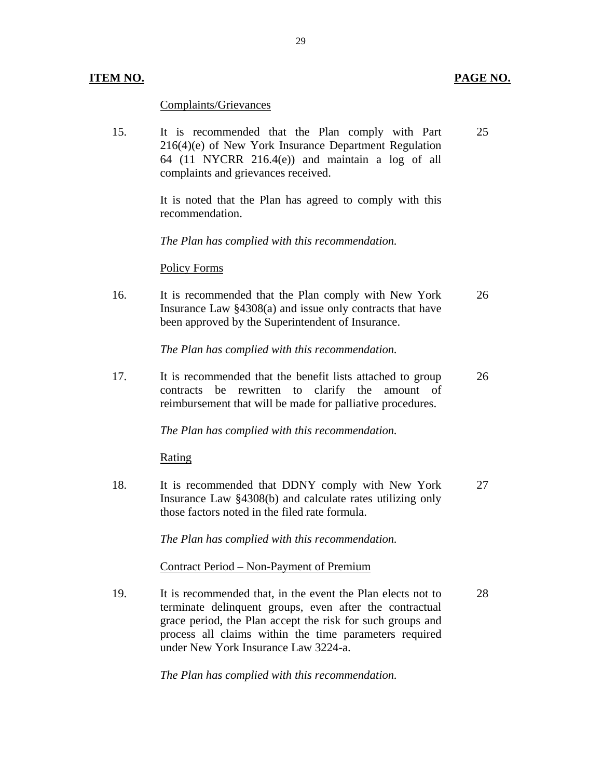## **ITEM NO. PAGE NO.**

Complaints/Grievances

15. It is recommended that the Plan comply with Part 25 216(4)(e) of New York Insurance Department Regulation 64 (11 NYCRR 216.4(e)) and maintain a log of all complaints and grievances received.

> It is noted that the Plan has agreed to comply with this recommendation.

*The Plan has complied with this recommendation.* 

#### Policy Forms

16. It is recommended that the Plan comply with New York 26 Insurance Law §4308(a) and issue only contracts that have been approved by the Superintendent of Insurance.

*The Plan has complied with this recommendation.* 

17. It is recommended that the benefit lists attached to group 26 contracts be rewritten to clarify the amount of reimbursement that will be made for palliative procedures.

*The Plan has complied with this recommendation.* 

Rating

18. It is recommended that DDNY comply with New York 27 Insurance Law §4308(b) and calculate rates utilizing only those factors noted in the filed rate formula.

*The Plan has complied with this recommendation.* 

<u>Contract Period – Non-Payment of Premium</u>

19. It is recommended that, in the event the Plan elects not to 28 terminate delinquent groups, even after the contractual grace period, the Plan accept the risk for such groups and process all claims within the time parameters required under New York Insurance Law 3224-a.

*The Plan has complied with this recommendation.*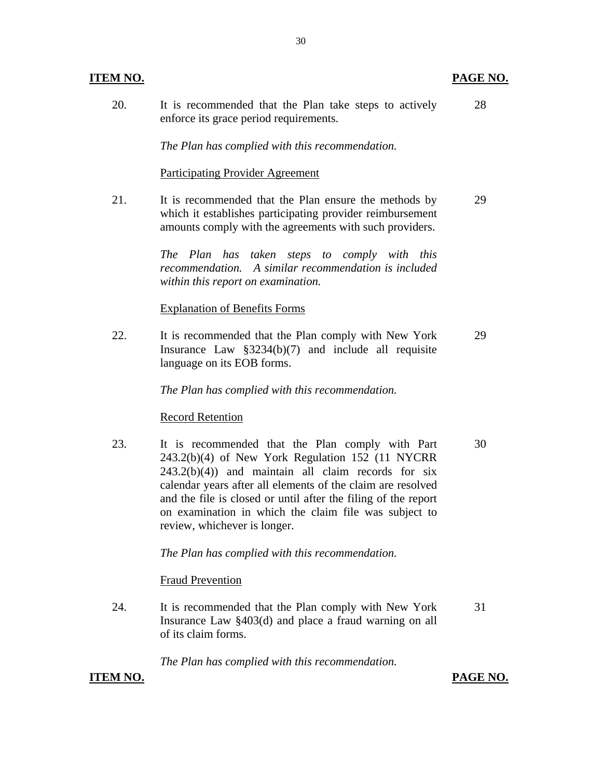| <b>ITEM NO.</b> |                                                                                                  | PAGE NO. |
|-----------------|--------------------------------------------------------------------------------------------------|----------|
| 20.             | It is recommended that the Plan take steps to actively<br>enforce its grace period requirements. | 28       |
|                 | The Plan has complied with this recommendation.                                                  |          |
|                 | <b>Participating Provider Agreement</b>                                                          |          |
| $^{\circ}$ 1    | It is recommended that the Dlan anguna the mathods by                                            | ററ       |

21. It is recommended that the Plan ensure the methods by which it establishes participating provider reimbursement amounts comply with the agreements with such providers. 29

> *The Plan has taken steps to comply with this recommendation. A similar recommendation is included within this report on examination.*

## **Explanation of Benefits Forms**

22. It is recommended that the Plan comply with New York Insurance Law §3234(b)(7) and include all requisite language on its EOB forms. 29

*The Plan has complied with this recommendation.* 

#### **Record Retention**

23. It is recommended that the Plan comply with Part 243.2(b)(4) of New York Regulation 152 (11 NYCRR  $243.2(b)(4)$  and maintain all claim records for six calendar years after all elements of the claim are resolved and the file is closed or until after the filing of the report on examination in which the claim file was subject to review, whichever is longer. 30

*The Plan has complied with this recommendation.* 

# **Fraud Prevention**

24. It is recommended that the Plan comply with New York Insurance Law §403(d) and place a fraud warning on all of its claim forms. 31

*The Plan has complied with this recommendation.* 

# **ITEM NO.**

**PAGE NO.**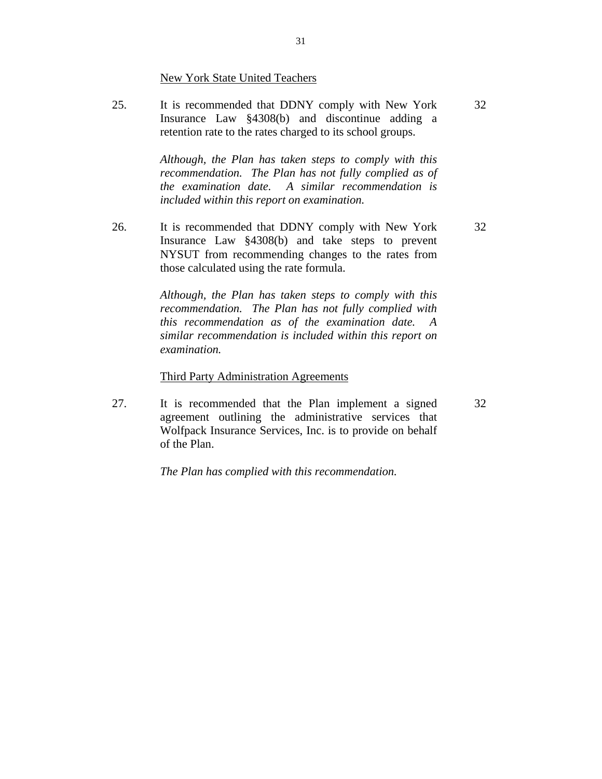New York State United Teachers

25. It is recommended that DDNY comply with New York Insurance Law §4308(b) and discontinue adding a retention rate to the rates charged to its school groups. 32

> *Although, the Plan has taken steps to comply with this recommendation. The Plan has not fully complied as of the examination date. A similar recommendation is included within this report on examination.*

26. It is recommended that DDNY comply with New York Insurance Law §4308(b) and take steps to prevent NYSUT from recommending changes to the rates from those calculated using the rate formula.

> *Although, the Plan has taken steps to comply with this recommendation. The Plan has not fully complied with this recommendation as of the examination date. A similar recommendation is included within this report on examination.*

#### **Third Party Administration Agreements**

27. It is recommended that the Plan implement a signed agreement outlining the administrative services that Wolfpack Insurance Services, Inc. is to provide on behalf of the Plan.

*The Plan has complied with this recommendation.* 

32

32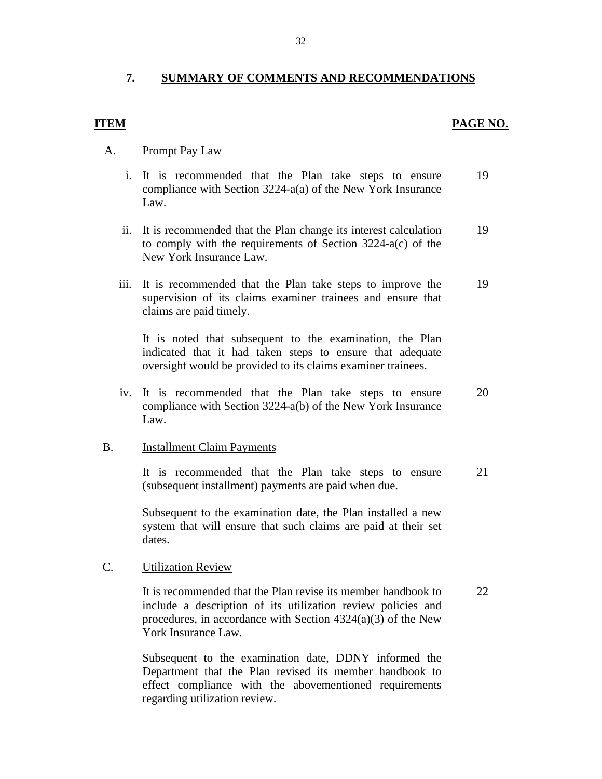# <span id="page-33-0"></span>**7. SUMMARY OF COMMENTS AND RECOMMENDATIONS**

# **ITEM**

### **PAGE NO.**

### **Prompt Pay Law**

- A. Prompt Pay Law<br>i. It is recommended that the Plan take steps to ensure 19 compliance with Section 3224-a(a) of the New York Insurance Law.
	- ii. It is recommended that the Plan change its interest calculation 19 to comply with the requirements of Section 3224-a(c) of the New York Insurance Law.
	- iii. It is recommended that the Plan take steps to improve the 19 supervision of its claims examiner trainees and ensure that claims are paid timely.

It is noted that subsequent to the examination, the Plan indicated that it had taken steps to ensure that adequate oversight would be provided to its claims examiner trainees.

iv. It is recommended that the Plan take steps to ensure 20 compliance with Section 3224-a(b) of the New York Insurance Law.

#### **Installment Claim Payments**

B. Installment Claim Payments<br>It is recommended that the Plan take steps to ensure 21 (subsequent installment) payments are paid when due.

> Subsequent to the examination date, the Plan installed a new system that will ensure that such claims are paid at their set dates.

#### **Utilization Review**

C. Utilization Review<br>It is recommended that the Plan revise its member handbook to 22 include a description of its utilization review policies and procedures, in accordance with Section 4324(a)(3) of the New York Insurance Law.

> Subsequent to the examination date, DDNY informed the Department that the Plan revised its member handbook to effect compliance with the abovementioned requirements regarding utilization review.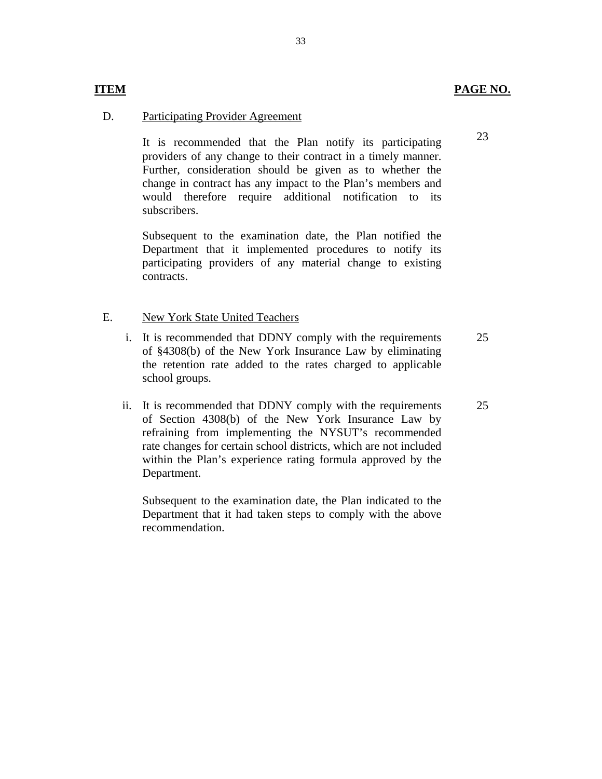# **ITEM**

### **Participating Provider Agreement**

D. Participating Provider Agreement<br>It is recommended that the Plan notify its participating providers of any change to their contract in a timely manner. Further, consideration should be given as to whether the change in contract has any impact to the Plan's members and would therefore require additional notification to its subscribers.

> Subsequent to the examination date, the Plan notified the Department that it implemented procedures to notify its participating providers of any material change to existing contracts.

#### New York State United Teachers E.

- New York State United Teachers<br>i. It is recommended that DDNY comply with the requirements of §4308(b) of the New York Insurance Law by eliminating the retention rate added to the rates charged to applicable school groups. 25
- ii. It is recommended that DDNY comply with the requirements of Section 4308(b) of the New York Insurance Law by refraining from implementing the NYSUT's recommended rate changes for certain school districts, which are not included within the Plan's experience rating formula approved by the Department.

Subsequent to the examination date, the Plan indicated to the Department that it had taken steps to comply with the above recommendation.

23

25